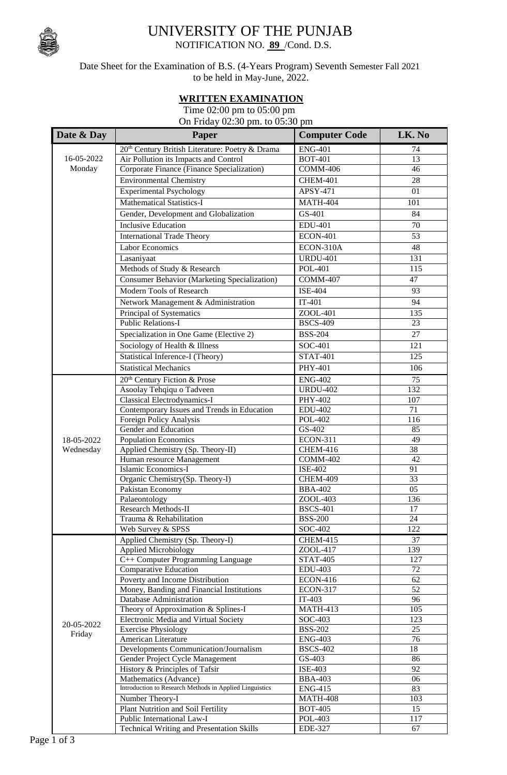

## UNIVERSITY OF THE PUNJAB

NOTIFICATION NO. **89** /Cond. D.S.

Date Sheet for the Examination of B.S. (4-Years Program) Seventh Semester Fall 2021 to be held in May-June, 2022.

## **WRITTEN EXAMINATION**

 Time 02:00 pm to 05:00 pm On Friday 02:30 pm. to 05:30 pm

| Date & Day           | Paper                                                            | <b>Computer Code</b>        | LK. No    |
|----------------------|------------------------------------------------------------------|-----------------------------|-----------|
| 16-05-2022<br>Monday | 20 <sup>th</sup> Century British Literature: Poetry & Drama      | <b>ENG-401</b>              | 74        |
|                      | Air Pollution its Impacts and Control                            | <b>BOT-401</b>              | 13        |
|                      | Corporate Finance (Finance Specialization)                       | <b>COMM-406</b>             | 46        |
|                      | <b>Environmental Chemistry</b>                                   | <b>CHEM-401</b>             | 28        |
|                      | Experimental Psychology                                          | APSY-471                    | 01        |
|                      | <b>Mathematical Statistics-I</b>                                 | <b>MATH-404</b>             | 101       |
|                      | Gender, Development and Globalization                            | GS-401                      | 84        |
|                      | <b>Inclusive Education</b>                                       | <b>EDU-401</b>              | 70        |
|                      | <b>International Trade Theory</b>                                | <b>ECON-401</b>             | 53        |
|                      | <b>Labor Economics</b>                                           | ECON-310A                   | 48        |
|                      |                                                                  |                             |           |
|                      | Lasaniyaat                                                       | <b>URDU-401</b>             | 131       |
|                      | Methods of Study & Research                                      | <b>POL-401</b>              | 115       |
|                      | <b>Consumer Behavior (Marketing Specialization)</b>              | <b>COMM-407</b>             | 47        |
|                      | Modern Tools of Research                                         | <b>ISE-404</b>              | 93        |
|                      | Network Management & Administration                              | $IT-401$                    | 94        |
|                      | Principal of Systematics                                         | ZOOL-401                    | 135       |
|                      | <b>Public Relations-I</b>                                        | <b>BSCS-409</b>             | 23        |
|                      | Specialization in One Game (Elective 2)                          | <b>BSS-204</b>              | 27        |
|                      | Sociology of Health & Illness                                    | SOC-401                     | 121       |
|                      | Statistical Inference-I (Theory)                                 | <b>STAT-401</b>             | 125       |
|                      | <b>Statistical Mechanics</b>                                     | <b>PHY-401</b>              | 106       |
|                      | 20 <sup>th</sup> Century Fiction & Prose                         | <b>ENG-402</b>              | 75        |
|                      | Asoolay Tehqiqu o Tadveen                                        | <b>URDU-402</b>             | 132       |
|                      | <b>Classical Electrodynamics-I</b>                               | PHY-402                     | 107       |
|                      | Contemporary Issues and Trends in Education                      | <b>EDU-402</b>              | 71        |
|                      | Foreign Policy Analysis                                          | <b>POL-402</b>              | 116       |
|                      | Gender and Education                                             | GS-402                      | 85        |
| 18-05-2022           | <b>Population Economics</b>                                      | <b>ECON-311</b>             | 49        |
| Wednesday            | Applied Chemistry (Sp. Theory-II)                                | <b>CHEM-416</b>             | 38        |
|                      | Human resource Management                                        | <b>COMM-402</b>             | 42        |
|                      | Islamic Economics-I                                              | <b>ISE-402</b>              | 91        |
|                      | Organic Chemistry(Sp. Theory-I)                                  | CHEM-409                    | 33        |
|                      | Pakistan Economy                                                 | <b>BBA-402</b>              | 05        |
|                      | Palaeontology                                                    | $ZOOL-403$                  | 136       |
|                      | Research Methods-II                                              | <b>BSCS-401</b>             | 17        |
|                      | Trauma & Rehabilitation                                          | <b>BSS-200</b>              | 24        |
|                      | Web Survey & SPSS                                                | SOC-402                     | 122       |
|                      | Applied Chemistry (Sp. Theory-I)                                 | <b>CHEM-415</b><br>ZOOL-417 | 37<br>139 |
|                      | <b>Applied Microbiology</b><br>C++ Computer Programming Language | <b>STAT-405</b>             | 127       |
|                      | Comparative Education                                            | <b>EDU-403</b>              | 72        |
|                      | Poverty and Income Distribution                                  | <b>ECON-416</b>             | 62        |
|                      | Money, Banding and Financial Institutions                        | <b>ECON-317</b>             | 52        |
|                      | Database Administration                                          | $IT-403$                    | 96        |
|                      | Theory of Approximation & Splines-I                              | <b>MATH-413</b>             | 105       |
|                      | Electronic Media and Virtual Society                             | SOC-403                     | 123       |
| 20-05-2022           | <b>Exercise Physiology</b>                                       | <b>BSS-202</b>              | 25        |
| Friday               | American Literature                                              | <b>ENG-403</b>              | 76        |
|                      | Developments Communication/Journalism                            | <b>BSCS-402</b>             | 18        |
|                      | Gender Project Cycle Management                                  | $GS-403$                    | 86        |
|                      | History & Principles of Tafsir                                   | ISE-403                     | 92        |
|                      | Mathematics (Advance)                                            | <b>BBA-403</b>              | 06        |
|                      | Introduction to Research Methods in Applied Linguistics          | <b>ENG-415</b>              | 83        |
|                      | Number Theory-I                                                  | <b>MATH-408</b>             | 103       |
|                      | Plant Nutrition and Soil Fertility                               | <b>BOT-405</b>              | 15        |
|                      | Public International Law-I                                       | POL-403                     | 117       |
|                      | <b>Technical Writing and Presentation Skills</b>                 | <b>EDE-327</b>              | 67        |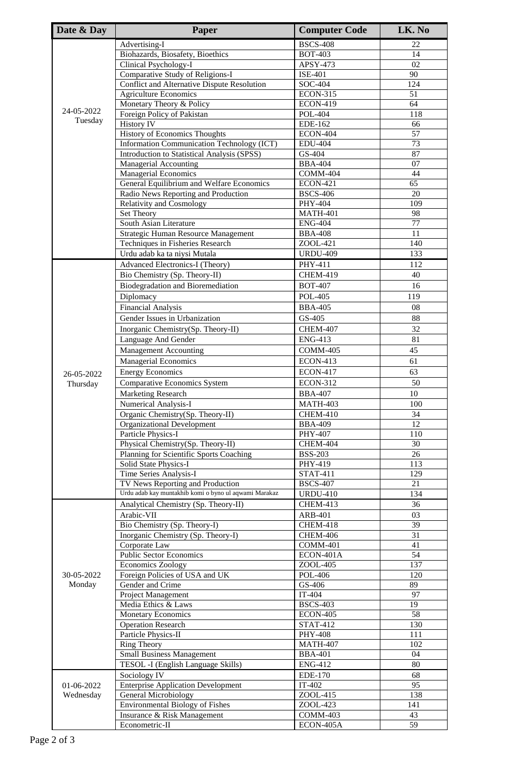| Date & Day | Paper                                                                                     | <b>Computer Code</b>               | LK. No                |
|------------|-------------------------------------------------------------------------------------------|------------------------------------|-----------------------|
|            | Advertising-I                                                                             | <b>BSCS-408</b>                    | 22                    |
|            | Biohazards, Biosafety, Bioethics                                                          | <b>BOT-403</b>                     | 14                    |
|            | <b>Clinical Psychology-I</b>                                                              | APSY-473                           | 02                    |
|            | <b>Comparative Study of Religions-I</b>                                                   | $\overline{\text{ISE}}$ -401       | 90                    |
|            | Conflict and Alternative Dispute Resolution                                               | SOC-404                            | 124                   |
|            | <b>Agriculture Economics</b><br>Monetary Theory & Policy                                  | <b>ECON-315</b><br><b>ECON-419</b> | 51<br>64              |
| 24-05-2022 | Foreign Policy of Pakistan                                                                | <b>POL-404</b>                     | 118                   |
| Tuesday    | <b>History IV</b>                                                                         | EDE-162                            | 66                    |
|            | History of Economics Thoughts                                                             | <b>ECON-404</b>                    | 57                    |
|            | Information Communication Technology (ICT)                                                | <b>EDU-404</b>                     | 73                    |
|            | Introduction to Statistical Analysis (SPSS)                                               | GS-404                             | 87                    |
|            | Managerial Accounting                                                                     | <b>BBA-404</b><br>COMM-404         | 07                    |
|            | <b>Managerial Economics</b><br>General Equilibrium and Welfare Economics                  | <b>ECON-421</b>                    | 44<br>65              |
|            | Radio News Reporting and Production                                                       | <b>BSCS-406</b>                    | 20                    |
|            | <b>Relativity and Cosmology</b>                                                           | PHY-404                            | 109                   |
|            | Set Theory                                                                                | <b>MATH-401</b>                    | 98                    |
|            | South Asian Literature                                                                    | <b>ENG-404</b>                     | 77                    |
|            | Strategic Human Resource Management                                                       | <b>BBA-408</b>                     | 11                    |
|            | Techniques in Fisheries Research                                                          | ZOOL-421<br><b>URDU-409</b>        | 140                   |
|            | Urdu adab ka ta niysi Mutala                                                              | PHY-411                            | 133<br>112            |
|            | Advanced Electronics-I (Theory)<br>Bio Chemistry (Sp. Theory-II)                          | <b>CHEM-419</b>                    | 40                    |
|            | <b>Biodegradation and Bioremediation</b>                                                  | <b>BOT-407</b>                     | 16                    |
|            | Diplomacy                                                                                 | <b>POL-405</b>                     | 119                   |
|            | <b>Financial Analysis</b>                                                                 | <b>BBA-405</b>                     | 08                    |
|            | Gender Issues in Urbanization                                                             | GS-405                             | 88                    |
|            | Inorganic Chemistry(Sp. Theory-II)                                                        | <b>CHEM-407</b>                    | 32                    |
|            | Language And Gender                                                                       | <b>ENG-413</b>                     | 81                    |
|            | <b>Management Accounting</b>                                                              | <b>COMM-405</b>                    | 45                    |
|            | <b>Managerial Economics</b>                                                               | <b>ECON-413</b>                    | 61                    |
| 26-05-2022 | <b>Energy Economics</b>                                                                   | <b>ECON-417</b>                    | 63                    |
| Thursday   | <b>Comparative Economics System</b>                                                       | <b>ECON-312</b>                    | 50                    |
|            | <b>Marketing Research</b>                                                                 | <b>BBA-407</b>                     | $10\,$                |
|            | Numerical Analysis-I                                                                      | <b>MATH-403</b>                    | 100                   |
|            | Organic Chemistry(Sp. Theory-II)<br><b>Organizational Development</b>                     | <b>CHEM-410</b><br><b>BBA-409</b>  | 34<br>$\overline{12}$ |
|            | Particle Physics-I                                                                        | PHY-407                            | 110                   |
|            | Physical Chemistry(Sp. Theory-II)                                                         | CHEM-404                           | 30                    |
|            | Planning for Scientific Sports Coaching                                                   | <b>BSS-203</b>                     | 26                    |
|            | Solid State Physics-I                                                                     | PHY-419                            | 113                   |
|            | Time Series Analysis-I                                                                    | STAT-411                           | 129                   |
|            | TV News Reporting and Production<br>Urdu adab kay muntakhib komi o byno ul aqwami Marakaz | <b>BSCS-407</b><br><b>URDU-410</b> | 21<br>134             |
|            | Analytical Chemistry (Sp. Theory-II)                                                      | CHEM-413                           | 36                    |
|            | Arabic-VII                                                                                | <b>ARB-401</b>                     | 03                    |
|            | Bio Chemistry (Sp. Theory-I)                                                              | <b>CHEM-418</b>                    | $\overline{39}$       |
|            | Inorganic Chemistry (Sp. Theory-I)                                                        | <b>CHEM-406</b>                    | $\overline{31}$       |
|            | Corporate Law                                                                             | COMM-401                           | 41                    |
|            | <b>Public Sector Economics</b>                                                            | ECON-401A                          | 54                    |
| 30-05-2022 | Economics Zoology                                                                         | ZOOL-405<br><b>POL-406</b>         | 137<br>120            |
| Monday     | Foreign Policies of USA and UK<br>Gender and Crime                                        | GS-406                             | 89                    |
|            | Project Management                                                                        | IT-404                             | 97                    |
|            | Media Ethics & Laws                                                                       | <b>BSCS-403</b>                    | 19                    |
|            | <b>Monetary Economics</b>                                                                 | <b>ECON-405</b>                    | 58                    |
|            | <b>Operation Research</b>                                                                 | STAT-412                           | 130                   |
|            | Particle Physics-II                                                                       | <b>PHY-408</b>                     | 111                   |
|            | <b>Ring Theory</b><br><b>Small Business Management</b>                                    | <b>MATH-407</b><br><b>BBA-401</b>  | 102                   |
|            | TESOL -I (English Language Skills)                                                        | <b>ENG-412</b>                     | 04<br>80              |
|            | Sociology IV                                                                              | <b>EDE-170</b>                     | 68                    |
| 01-06-2022 | <b>Enterprise Application Development</b>                                                 | $IT-402$                           | 95                    |
| Wednesday  | General Microbiology                                                                      | ZOOL-415                           | 138                   |
|            | <b>Environmental Biology of Fishes</b>                                                    | ZOOL-423                           | 141                   |
|            | Insurance & Risk Management                                                               | $\overline{COMM}$ -403             | 43                    |
|            | Econometric-II                                                                            | ECON-405A                          | 59                    |